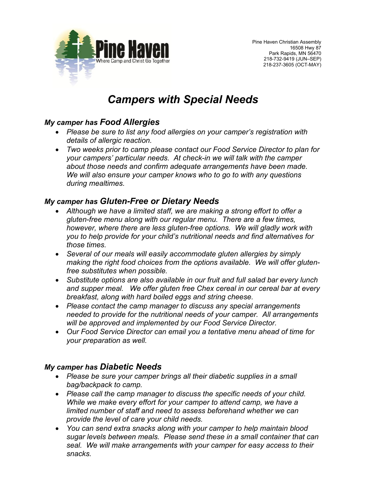

# *Campers with Special Needs*

## *My camper has Food Allergies*

- *Please be sure to list any food allergies on your camper's registration with details of allergic reaction.*
- *Two weeks prior to camp please contact our Food Service Director to plan for your campers' particular needs. At check-in we will talk with the camper about those needs and confirm adequate arrangements have been made. We will also ensure your camper knows who to go to with any questions during mealtimes.*

## *My camper has Gluten-Free or Dietary Needs*

- *Although we have a limited staff, we are making a strong effort to offer a gluten-free menu along with our regular menu. There are a few times, however, where there are less gluten-free options. We will gladly work with you to help provide for your child's nutritional needs and find alternatives for those times.*
- *Several of our meals will easily accommodate gluten allergies by simply making the right food choices from the options available. We will offer glutenfree substitutes when possible.*
- *Substitute options are also available in our fruit and full salad bar every lunch and supper meal. We offer gluten free Chex cereal in our cereal bar at every breakfast, along with hard boiled eggs and string cheese.*
- *Please contact the camp manager to discuss any special arrangements needed to provide for the nutritional needs of your camper. All arrangements will be approved and implemented by our Food Service Director.*
- *Our Food Service Director can email you a tentative menu ahead of time for your preparation as well.*

## *My camper has Diabetic Needs*

- *Please be sure your camper brings all their diabetic supplies in a small bag/backpack to camp.*
- *Please call the camp manager to discuss the specific needs of your child. While we make every effort for your camper to attend camp, we have a limited number of staff and need to assess beforehand whether we can provide the level of care your child needs.*
- *You can send extra snacks along with your camper to help maintain blood sugar levels between meals. Please send these in a small container that can seal. We will make arrangements with your camper for easy access to their snacks.*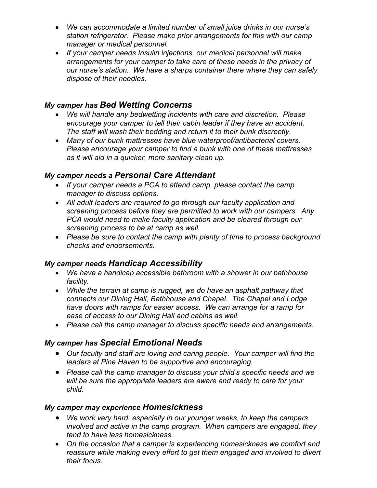- *We can accommodate a limited number of small juice drinks in our nurse's station refrigerator. Please make prior arrangements for this with our camp manager or medical personnel.*
- *If your camper needs Insulin injections, our medical personnel will make arrangements for your camper to take care of these needs in the privacy of our nurse's station. We have a sharps container there where they can safely dispose of their needles.*

# *My camper has Bed Wetting Concerns*

- *We will handle any bedwetting incidents with care and discretion. Please encourage your camper to tell their cabin leader if they have an accident. The staff will wash their bedding and return it to their bunk discreetly.*
- *Many of our bunk mattresses have blue waterproof/antibacterial covers. Please encourage your camper to find a bunk with one of these mattresses as it will aid in a quicker, more sanitary clean up.*

## *My camper needs a Personal Care Attendant*

- *If your camper needs a PCA to attend camp, please contact the camp manager to discuss options.*
- *All adult leaders are required to go through our faculty application and screening process before they are permitted to work with our campers. Any PCA would need to make faculty application and be cleared through our screening process to be at camp as well.*
- *Please be sure to contact the camp with plenty of time to process background checks and endorsements.*

## *My camper needs Handicap Accessibility*

- *We have a handicap accessible bathroom with a shower in our bathhouse facility.*
- *While the terrain at camp is rugged, we do have an asphalt pathway that connects our Dining Hall, Bathhouse and Chapel. The Chapel and Lodge have doors with ramps for easier access. We can arrange for a ramp for ease of access to our Dining Hall and cabins as well.*
- *Please call the camp manager to discuss specific needs and arrangements.*

# *My camper has Special Emotional Needs*

- *Our faculty and staff are loving and caring people. Your camper will find the leaders at Pine Haven to be supportive and encouraging.*
- *Please call the camp manager to discuss your child's specific needs and we will be sure the appropriate leaders are aware and ready to care for your child.*

#### *My camper may experience Homesickness*

- *We work very hard, especially in our younger weeks, to keep the campers involved and active in the camp program. When campers are engaged, they tend to have less homesickness.*
- *On the occasion that a camper is experiencing homesickness we comfort and*  reassure while making every effort to get them engaged and involved to divert *their focus.*